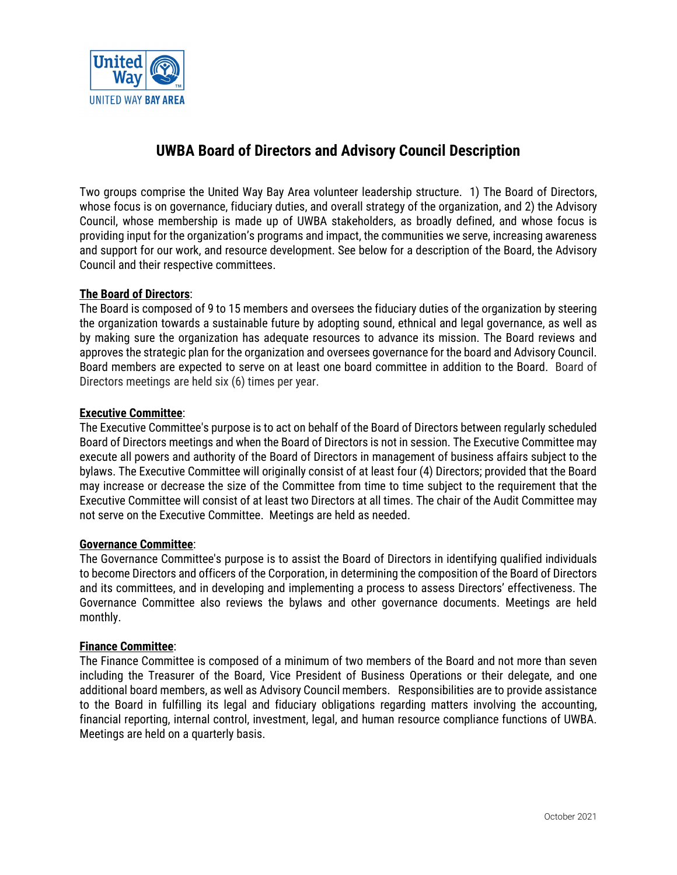

# **UWBA Board of Directors and Advisory Council Description**

Two groups comprise the United Way Bay Area volunteer leadership structure. 1) The Board of Directors, whose focus is on governance, fiduciary duties, and overall strategy of the organization, and 2) the Advisory Council, whose membership is made up of UWBA stakeholders, as broadly defined, and whose focus is providing input for the organization's programs and impact, the communities we serve, increasing awareness and support for our work, and resource development. See below for a description of the Board, the Advisory Council and their respective committees.

# **The Board of Directors**:

The Board is composed of 9 to 15 members and oversees the fiduciary duties of the organization by steering the organization towards a sustainable future by adopting sound, ethnical and legal governance, as well as by making sure the organization has adequate resources to advance its mission. The Board reviews and approves the strategic plan for the organization and oversees governance for the board and Advisory Council. Board members are expected to serve on at least one board committee in addition to the Board. Board of Directors meetings are held six (6) times per year.

# **Executive Committee**:

The Executive Committee's purpose is to act on behalf of the Board of Directors between regularly scheduled Board of Directors meetings and when the Board of Directors is not in session. The Executive Committee may execute all powers and authority of the Board of Directors in management of business affairs subject to the bylaws. The Executive Committee will originally consist of at least four (4) Directors; provided that the Board may increase or decrease the size of the Committee from time to time subject to the requirement that the Executive Committee will consist of at least two Directors at all times. The chair of the Audit Committee may not serve on the Executive Committee. Meetings are held as needed.

### **Governance Committee**:

The Governance Committee's purpose is to assist the Board of Directors in identifying qualified individuals to become Directors and officers of the Corporation, in determining the composition of the Board of Directors and its committees, and in developing and implementing a process to assess Directors' effectiveness. The Governance Committee also reviews the bylaws and other governance documents. Meetings are held monthly.

### **Finance Committee**:

The Finance Committee is composed of a minimum of two members of the Board and not more than seven including the Treasurer of the Board, Vice President of Business Operations or their delegate, and one additional board members, as well as Advisory Council members. Responsibilities are to provide assistance to the Board in fulfilling its legal and fiduciary obligations regarding matters involving the accounting, financial reporting, internal control, investment, legal, and human resource compliance functions of UWBA. Meetings are held on a quarterly basis.